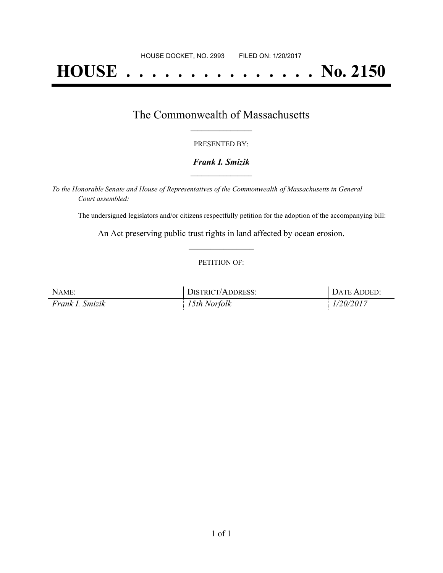# **HOUSE . . . . . . . . . . . . . . . No. 2150**

## The Commonwealth of Massachusetts **\_\_\_\_\_\_\_\_\_\_\_\_\_\_\_\_\_**

#### PRESENTED BY:

#### *Frank I. Smizik* **\_\_\_\_\_\_\_\_\_\_\_\_\_\_\_\_\_**

*To the Honorable Senate and House of Representatives of the Commonwealth of Massachusetts in General Court assembled:*

The undersigned legislators and/or citizens respectfully petition for the adoption of the accompanying bill:

An Act preserving public trust rights in land affected by ocean erosion. **\_\_\_\_\_\_\_\_\_\_\_\_\_\_\_**

#### PETITION OF:

| NAME:           | DISTRICT/ADDRESS: | DATE ADDED: |
|-----------------|-------------------|-------------|
| Frank I. Smizik | 15th Norfolk      | 1/20/2017   |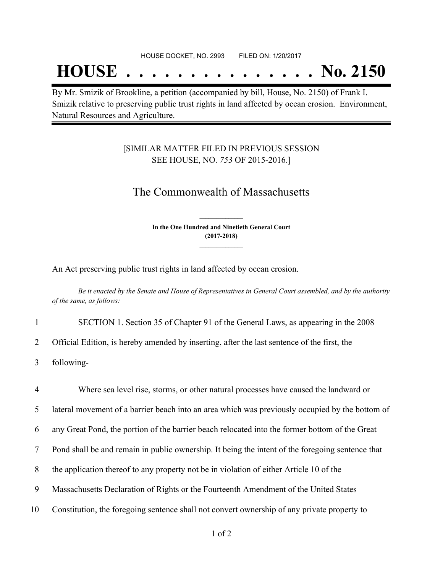## **HOUSE . . . . . . . . . . . . . . . No. 2150**

By Mr. Smizik of Brookline, a petition (accompanied by bill, House, No. 2150) of Frank I. Smizik relative to preserving public trust rights in land affected by ocean erosion. Environment, Natural Resources and Agriculture.

### [SIMILAR MATTER FILED IN PREVIOUS SESSION SEE HOUSE, NO. *753* OF 2015-2016.]

## The Commonwealth of Massachusetts

**In the One Hundred and Ninetieth General Court (2017-2018) \_\_\_\_\_\_\_\_\_\_\_\_\_\_\_**

**\_\_\_\_\_\_\_\_\_\_\_\_\_\_\_**

An Act preserving public trust rights in land affected by ocean erosion.

Be it enacted by the Senate and House of Representatives in General Court assembled, and by the authority *of the same, as follows:*

1 SECTION 1. Section 35 of Chapter 91 of the General Laws, as appearing in the 2008

2 Official Edition, is hereby amended by inserting, after the last sentence of the first, the

3 following-

 Where sea level rise, storms, or other natural processes have caused the landward or lateral movement of a barrier beach into an area which was previously occupied by the bottom of any Great Pond, the portion of the barrier beach relocated into the former bottom of the Great Pond shall be and remain in public ownership. It being the intent of the foregoing sentence that the application thereof to any property not be in violation of either Article 10 of the Massachusetts Declaration of Rights or the Fourteenth Amendment of the United States Constitution, the foregoing sentence shall not convert ownership of any private property to